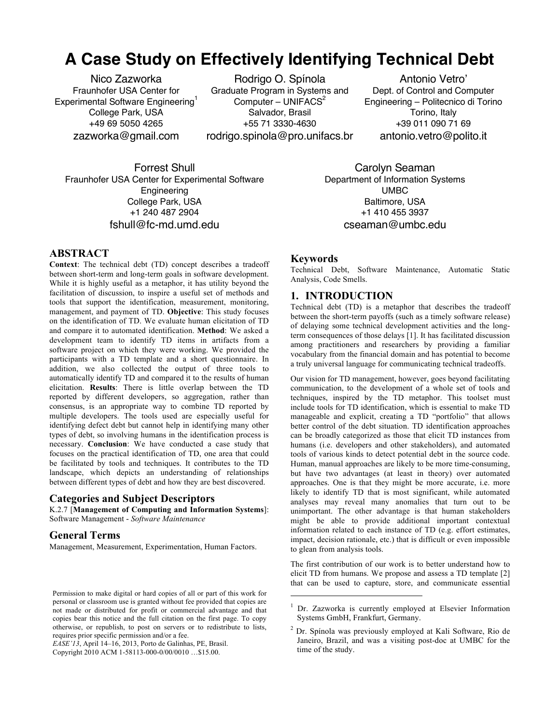# **A Case Study on Effectively Identifying Technical Debt**

Nico Zazworka Fraunhofer USA Center for Experimental Software Engineering<sup>1</sup> College Park, USA +49 69 5050 4265 zazworka@gmail.com

Rodrigo O. Spínola Graduate Program in Systems and Computer – UNIFACS $2^2$ Salvador, Brasil +55 71 3330-4630 rodrigo.spinola@pro.unifacs.br

Antonio Vetro' Dept. of Control and Computer Engineering – Politecnico di Torino Torino, Italy +39 011 090 71 69 antonio.vetro@polito.it

Forrest Shull Fraunhofer USA Center for Experimental Software Engineering College Park, USA +1 240 487 2904 fshull@fc-md.umd.edu

## **ABSTRACT**

**Context**: The technical debt (TD) concept describes a tradeoff between short-term and long-term goals in software development. While it is highly useful as a metaphor, it has utility beyond the facilitation of discussion, to inspire a useful set of methods and tools that support the identification, measurement, monitoring, management, and payment of TD. **Objective**: This study focuses on the identification of TD. We evaluate human elicitation of TD and compare it to automated identification. **Method**: We asked a development team to identify TD items in artifacts from a software project on which they were working. We provided the participants with a TD template and a short questionnaire. In addition, we also collected the output of three tools to automatically identify TD and compared it to the results of human elicitation. **Results**: There is little overlap between the TD reported by different developers, so aggregation, rather than consensus, is an appropriate way to combine TD reported by multiple developers. The tools used are especially useful for identifying defect debt but cannot help in identifying many other types of debt, so involving humans in the identification process is necessary. **Conclusion**: We have conducted a case study that focuses on the practical identification of TD, one area that could be facilitated by tools and techniques. It contributes to the TD landscape, which depicts an understanding of relationships between different types of debt and how they are best discovered.

#### **Categories and Subject Descriptors**

K.2.7 [**Management of Computing and Information Systems**]: Software Management - *Software Maintenance*

## **General Terms**

Management, Measurement, Experimentation, Human Factors.

*EASE'13*, April 14–16, 2013, Porto de Galinhas, PE, Brasil.

Copyright 2010 ACM 1-58113-000-0/00/0010 …\$15.00.

Carolyn Seaman Department of Information Systems UMBC Baltimore, USA +1 410 455 3937 cseaman@umbc.edu

#### **Keywords**

 $\overline{a}$ 

Technical Debt, Software Maintenance, Automatic Static Analysis, Code Smells.

#### **1. INTRODUCTION**

Technical debt (TD) is a metaphor that describes the tradeoff between the short-term payoffs (such as a timely software release) of delaying some technical development activities and the longterm consequences of those delays [1]. It has facilitated discussion among practitioners and researchers by providing a familiar vocabulary from the financial domain and has potential to become a truly universal language for communicating technical tradeoffs.

Our vision for TD management, however, goes beyond facilitating communication, to the development of a whole set of tools and techniques, inspired by the TD metaphor. This toolset must include tools for TD identification, which is essential to make TD manageable and explicit, creating a TD "portfolio" that allows better control of the debt situation. TD identification approaches can be broadly categorized as those that elicit TD instances from humans (i.e. developers and other stakeholders), and automated tools of various kinds to detect potential debt in the source code. Human, manual approaches are likely to be more time-consuming, but have two advantages (at least in theory) over automated approaches. One is that they might be more accurate, i.e. more likely to identify TD that is most significant, while automated analyses may reveal many anomalies that turn out to be unimportant. The other advantage is that human stakeholders might be able to provide additional important contextual information related to each instance of TD (e.g. effort estimates, impact, decision rationale, etc.) that is difficult or even impossible to glean from analysis tools.

The first contribution of our work is to better understand how to elicit TD from humans. We propose and assess a TD template [2] that can be used to capture, store, and communicate essential

Permission to make digital or hard copies of all or part of this work for personal or classroom use is granted without fee provided that copies are not made or distributed for profit or commercial advantage and that copies bear this notice and the full citation on the first page. To copy otherwise, or republish, to post on servers or to redistribute to lists, requires prior specific permission and/or a fee.

<sup>1</sup> Dr. Zazworka is currently employed at Elsevier Information Systems GmbH, Frankfurt, Germany.

<sup>2</sup> Dr. Spínola was previously employed at Kali Software, Rio de Janeiro, Brazil, and was a visiting post-doc at UMBC for the time of the study.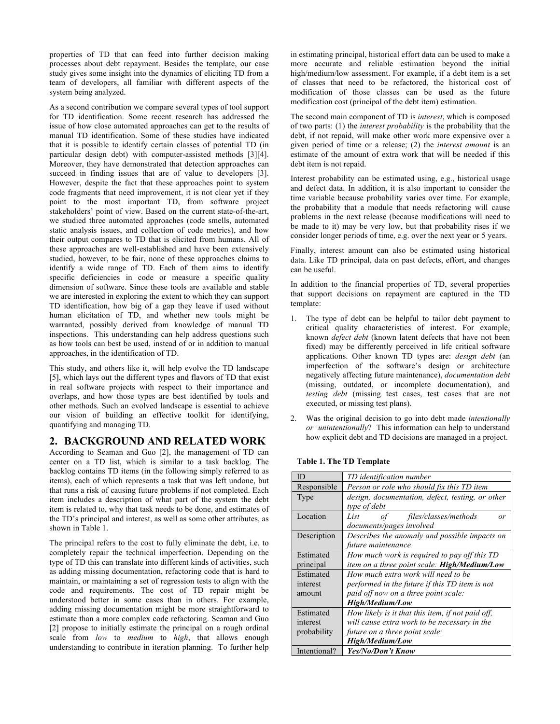properties of TD that can feed into further decision making processes about debt repayment. Besides the template, our case study gives some insight into the dynamics of eliciting TD from a team of developers, all familiar with different aspects of the system being analyzed.

As a second contribution we compare several types of tool support for TD identification. Some recent research has addressed the issue of how close automated approaches can get to the results of manual TD identification. Some of these studies have indicated that it is possible to identify certain classes of potential TD (in particular design debt) with computer-assisted methods [3][4]. Moreover, they have demonstrated that detection approaches can succeed in finding issues that are of value to developers [3]. However, despite the fact that these approaches point to system code fragments that need improvement, it is not clear yet if they point to the most important TD, from software project stakeholders' point of view. Based on the current state-of-the-art, we studied three automated approaches (code smells, automated static analysis issues, and collection of code metrics), and how their output compares to TD that is elicited from humans. All of these approaches are well-established and have been extensively studied, however, to be fair, none of these approaches claims to identify a wide range of TD. Each of them aims to identify specific deficiencies in code or measure a specific quality dimension of software. Since these tools are available and stable we are interested in exploring the extent to which they can support TD identification, how big of a gap they leave if used without human elicitation of TD, and whether new tools might be warranted, possibly derived from knowledge of manual TD inspections. This understanding can help address questions such as how tools can best be used, instead of or in addition to manual approaches, in the identification of TD.

This study, and others like it, will help evolve the TD landscape [5], which lays out the different types and flavors of TD that exist in real software projects with respect to their importance and overlaps, and how those types are best identified by tools and other methods. Such an evolved landscape is essential to achieve our vision of building an effective toolkit for identifying, quantifying and managing TD.

## **2. BACKGROUND AND RELATED WORK**

According to Seaman and Guo [2], the management of TD can center on a TD list, which is similar to a task backlog. The backlog contains TD items (in the following simply referred to as items), each of which represents a task that was left undone, but that runs a risk of causing future problems if not completed. Each item includes a description of what part of the system the debt item is related to, why that task needs to be done, and estimates of the TD's principal and interest, as well as some other attributes, as shown in Table 1.

The principal refers to the cost to fully eliminate the debt, i.e. to completely repair the technical imperfection. Depending on the type of TD this can translate into different kinds of activities, such as adding missing documentation, refactoring code that is hard to maintain, or maintaining a set of regression tests to align with the code and requirements. The cost of TD repair might be understood better in some cases than in others. For example, adding missing documentation might be more straightforward to estimate than a more complex code refactoring. Seaman and Guo [2] propose to initially estimate the principal on a rough ordinal scale from *low* to *medium* to *high*, that allows enough understanding to contribute in iteration planning. To further help

in estimating principal, historical effort data can be used to make a more accurate and reliable estimation beyond the initial high/medium/low assessment. For example, if a debt item is a set of classes that need to be refactored, the historical cost of modification of those classes can be used as the future modification cost (principal of the debt item) estimation.

The second main component of TD is *interest*, which is composed of two parts: (1) the *interest probability* is the probability that the debt, if not repaid, will make other work more expensive over a given period of time or a release; (2) the *interest amount* is an estimate of the amount of extra work that will be needed if this debt item is not repaid.

Interest probability can be estimated using, e.g., historical usage and defect data. In addition, it is also important to consider the time variable because probability varies over time. For example, the probability that a module that needs refactoring will cause problems in the next release (because modifications will need to be made to it) may be very low, but that probability rises if we consider longer periods of time, e.g. over the next year or 5 years.

Finally, interest amount can also be estimated using historical data. Like TD principal, data on past defects, effort, and changes can be useful.

In addition to the financial properties of TD, several properties that support decisions on repayment are captured in the TD template:

- 1. The type of debt can be helpful to tailor debt payment to critical quality characteristics of interest. For example, known *defect debt* (known latent defects that have not been fixed) may be differently perceived in life critical software applications. Other known TD types are: *design debt* (an imperfection of the software's design or architecture negatively affecting future maintenance), *documentation debt* (missing, outdated, or incomplete documentation), and *testing debt* (missing test cases, test cases that are not executed, or missing test plans).
- 2. Was the original decision to go into debt made *intentionally or unintentionally*? This information can help to understand how explicit debt and TD decisions are managed in a project.

| ID           | TD identification number                            |
|--------------|-----------------------------------------------------|
| Responsible  | Person or role who should fix this TD item          |
| Type         | design, documentation, defect, testing, or other    |
|              | type of debt                                        |
| Location     | files/classes/methods<br>List<br>of<br>or           |
|              | documents/pages involved                            |
| Description  | Describes the anomaly and possible impacts on       |
|              | future maintenance                                  |
| Estimated    | How much work is required to pay off this TD        |
| principal    | item on a three point scale: <b>High/Medium/Low</b> |
| Estimated    | How much extra work will need to be                 |
| interest     | performed in the future if this TD item is not      |
| amount       | paid off now on a three point scale:                |
|              | <b>High/Medium/Low</b>                              |
| Estimated    | How likely is it that this item, if not paid off,   |
| interest     | will cause extra work to be necessary in the        |
| probability  | future on a three point scale:                      |
|              | <b>High/Medium/Low</b>                              |
| Intentional? | Yes/No/Don't Know                                   |

#### **Table 1. The TD Template**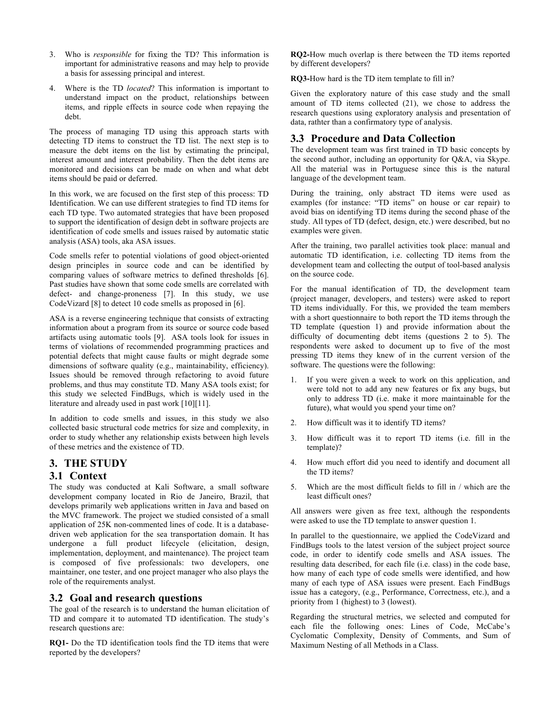- 3. Who is *responsible* for fixing the TD? This information is important for administrative reasons and may help to provide a basis for assessing principal and interest.
- 4. Where is the TD *located*? This information is important to understand impact on the product, relationships between items, and ripple effects in source code when repaying the debt.

The process of managing TD using this approach starts with detecting TD items to construct the TD list. The next step is to measure the debt items on the list by estimating the principal, interest amount and interest probability. Then the debt items are monitored and decisions can be made on when and what debt items should be paid or deferred.

In this work, we are focused on the first step of this process: TD Identification. We can use different strategies to find TD items for each TD type. Two automated strategies that have been proposed to support the identification of design debt in software projects are identification of code smells and issues raised by automatic static analysis (ASA) tools, aka ASA issues.

Code smells refer to potential violations of good object-oriented design principles in source code and can be identified by comparing values of software metrics to defined thresholds [6]. Past studies have shown that some code smells are correlated with defect- and change-proneness [7]. In this study, we use CodeVizard [8] to detect 10 code smells as proposed in [6].

ASA is a reverse engineering technique that consists of extracting information about a program from its source or source code based artifacts using automatic tools [9]. ASA tools look for issues in terms of violations of recommended programming practices and potential defects that might cause faults or might degrade some dimensions of software quality (e.g., maintainability, efficiency). Issues should be removed through refactoring to avoid future problems, and thus may constitute TD. Many ASA tools exist; for this study we selected FindBugs, which is widely used in the literature and already used in past work [10][11].

In addition to code smells and issues, in this study we also collected basic structural code metrics for size and complexity, in order to study whether any relationship exists between high levels of these metrics and the existence of TD.

# **3. THE STUDY**

## **3.1 Context**

The study was conducted at Kali Software, a small software development company located in Rio de Janeiro, Brazil, that develops primarily web applications written in Java and based on the MVC framework. The project we studied consisted of a small application of 25K non-commented lines of code. It is a databasedriven web application for the sea transportation domain. It has undergone a full product lifecycle (elicitation, design, implementation, deployment, and maintenance). The project team is composed of five professionals: two developers, one maintainer, one tester, and one project manager who also plays the role of the requirements analyst.

# **3.2 Goal and research questions**

The goal of the research is to understand the human elicitation of TD and compare it to automated TD identification. The study's research questions are:

**RQ1-** Do the TD identification tools find the TD items that were reported by the developers?

**RQ2-**How much overlap is there between the TD items reported by different developers?

**RQ3-**How hard is the TD item template to fill in?

Given the exploratory nature of this case study and the small amount of TD items collected (21), we chose to address the research questions using exploratory analysis and presentation of data, rathter than a confirmatory type of analysis.

# **3.3 Procedure and Data Collection**

The development team was first trained in TD basic concepts by the second author, including an opportunity for Q&A, via Skype. All the material was in Portuguese since this is the natural language of the development team.

During the training, only abstract TD items were used as examples (for instance: "TD items" on house or car repair) to avoid bias on identifying TD items during the second phase of the study. All types of TD (defect, design, etc.) were described, but no examples were given.

After the training, two parallel activities took place: manual and automatic TD identification, i.e. collecting TD items from the development team and collecting the output of tool-based analysis on the source code.

For the manual identification of TD, the development team (project manager, developers, and testers) were asked to report TD items individually. For this, we provided the team members with a short questionnaire to both report the TD items through the TD template (question 1) and provide information about the difficulty of documenting debt items (questions 2 to 5). The respondents were asked to document up to five of the most pressing TD items they knew of in the current version of the software. The questions were the following:

- 1. If you were given a week to work on this application, and were told not to add any new features or fix any bugs, but only to address TD (i.e. make it more maintainable for the future), what would you spend your time on?
- 2. How difficult was it to identify TD items?
- 3. How difficult was it to report TD items (i.e. fill in the template)?
- 4. How much effort did you need to identify and document all the TD items?
- 5. Which are the most difficult fields to fill in / which are the least difficult ones?

All answers were given as free text, although the respondents were asked to use the TD template to answer question 1.

In parallel to the questionnaire, we applied the CodeVizard and FindBugs tools to the latest version of the subject project source code, in order to identify code smells and ASA issues. The resulting data described, for each file (i.e. class) in the code base, how many of each type of code smells were identified, and how many of each type of ASA issues were present. Each FindBugs issue has a category, (e.g., Performance, Correctness, etc.), and a priority from 1 (highest) to 3 (lowest).

Regarding the structural metrics, we selected and computed for each file the following ones: Lines of Code, McCabe's Cyclomatic Complexity, Density of Comments, and Sum of Maximum Nesting of all Methods in a Class.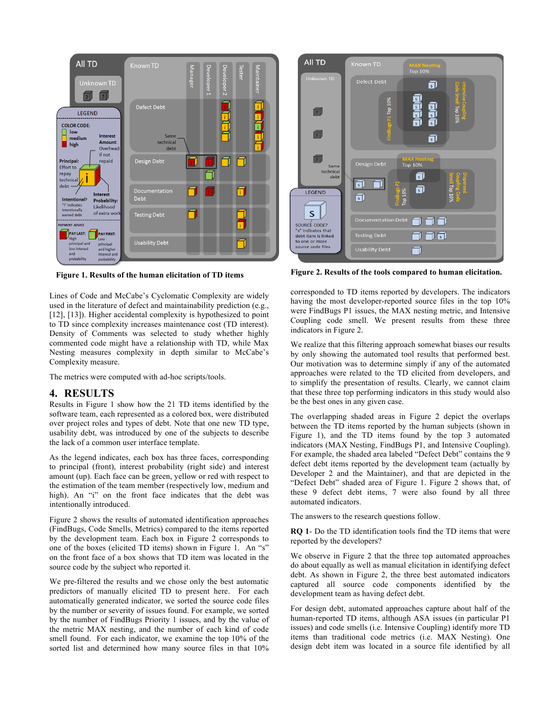

All TD гор 10%<br>Гор 10% Defect Debt  $\widehat{\mathsf{sl}}$  $\overline{\mathbf{z}}$  $\overline{\mathbb{R}}$  $\overline{\mathsf{S}}$ Design Debt <u>імал не</u><br>Тор 10% Same technical<br>debt  $\overline{\mathsf{s}}$  )  $\Box$  $\Box$  $\overline{\mathsf{s}}$ **LEGEND**  $\lceil \cdot \rceil$  $\mathsf{S}$ Documentation Debt ヨヨヨ SOURCE CODE? indicates that **Testing Debt** ากส deht item is linked to one or more<br>source code file: **Usability Debt** ┓

Lines of Code and McCabe's Cyclomatic Complexity are widely used in the literature of defect and maintainability prediction (e.g., [12], [13]). Higher accidental complexity is hypothesized to point to TD since complexity increases maintenance cost (TD interest). Density of Comments was selected to study whether highly commented code might have a relationship with TD, while Max Nesting measures complexity in depth similar to McCabe's Complexity measure.

The metrics were computed with ad-hoc scripts/tools.

#### **4. RESULTS**

Results in Figure 1 show how the 21 TD items identified by the software team, each represented as a colored box, were distributed over project roles and types of debt. Note that one new TD type, usability debt, was introduced by one of the subjects to describe the lack of a common user interface template.

As the legend indicates, each box has three faces, corresponding to principal (front), interest probability (right side) and interest amount (up). Each face can be green, yellow or red with respect to the estimation of the team member (respectively low, medium and high). An "i" on the front face indicates that the debt was intentionally introduced.

Figure 2 shows the results of automated identification approaches (FindBugs, Code Smells, Metrics) compared to the items reported by the development team. Each box in Figure 2 corresponds to one of the boxes (elicited TD items) shown in Figure 1. An "s" on the front face of a box shows that TD item was located in the source code by the subject who reported it.

We pre-filtered the results and we chose only the best automatic predictors of manually elicited TD to present here. For each automatically generated indicator, we sorted the source code files by the number or severity of issues found. For example, we sorted by the number of FindBugs Priority 1 issues, and by the value of the metric MAX nesting, and the number of each kind of code smell found. For each indicator, we examine the top 10% of the sorted list and determined how many source files in that 10%

**Figure 1. Results of the human elicitation of TD items Figure 2. Results of the tools compared to human elicitation.**

corresponded to TD items reported by developers. The indicators having the most developer-reported source files in the top 10% were FindBugs P1 issues, the MAX nesting metric, and Intensive Coupling code smell. We present results from these three indicators in Figure 2.

We realize that this filtering approach somewhat biases our results by only showing the automated tool results that performed best. Our motivation was to determine simply if any of the automated approaches were related to the TD elicited from developers, and to simplify the presentation of results. Clearly, we cannot claim that these three top performing indicators in this study would also be the best ones in any given case.

The overlapping shaded areas in Figure 2 depict the overlaps between the TD items reported by the human subjects (shown in Figure 1), and the TD items found by the top 3 automated indicators (MAX Nesting, FindBugs P1, and Intensive Coupling). For example, the shaded area labeled "Defect Debt" contains the 9 defect debt items reported by the development team (actually by Developer 2 and the Maintainer), and that are depicted in the "Defect Debt" shaded area of Figure 1. Figure 2 shows that, of these 9 defect debt items, 7 were also found by all three automated indicators.

The answers to the research questions follow.

**RQ 1**- Do the TD identification tools find the TD items that were reported by the developers?

We observe in Figure 2 that the three top automated approaches do about equally as well as manual elicitation in identifying defect debt. As shown in Figure 2, the three best automated indicators captured all source code components identified by the development team as having defect debt.

For design debt, automated approaches capture about half of the human-reported TD items, although ASA issues (in particular P1 issues) and code smells (i.e. Intensive Coupling) identify more TD items than traditional code metrics (i.e. MAX Nesting). One design debt item was located in a source file identified by all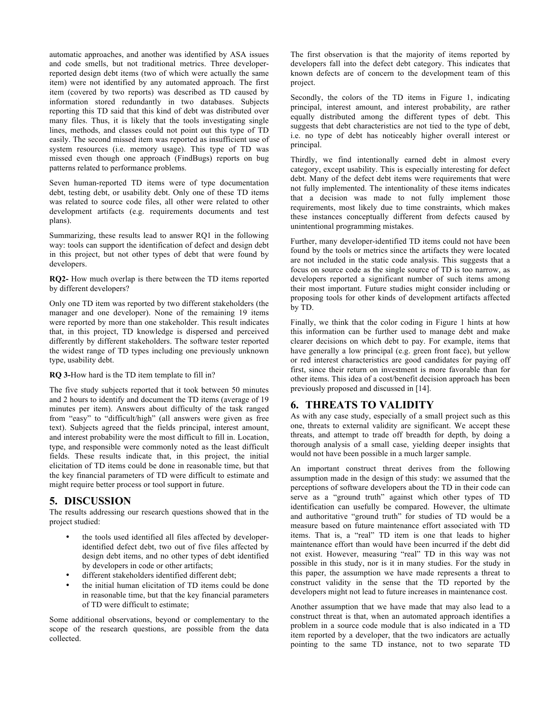automatic approaches, and another was identified by ASA issues and code smells, but not traditional metrics. Three developerreported design debt items (two of which were actually the same item) were not identified by any automated approach. The first item (covered by two reports) was described as TD caused by information stored redundantly in two databases. Subjects reporting this TD said that this kind of debt was distributed over many files. Thus, it is likely that the tools investigating single lines, methods, and classes could not point out this type of TD easily. The second missed item was reported as insufficient use of system resources (i.e. memory usage). This type of TD was missed even though one approach (FindBugs) reports on bug patterns related to performance problems.

Seven human-reported TD items were of type documentation debt, testing debt, or usability debt. Only one of these TD items was related to source code files, all other were related to other development artifacts (e.g. requirements documents and test plans).

Summarizing, these results lead to answer RQ1 in the following way: tools can support the identification of defect and design debt in this project, but not other types of debt that were found by developers.

**RQ2-** How much overlap is there between the TD items reported by different developers?

Only one TD item was reported by two different stakeholders (the manager and one developer). None of the remaining 19 items were reported by more than one stakeholder. This result indicates that, in this project, TD knowledge is dispersed and perceived differently by different stakeholders. The software tester reported the widest range of TD types including one previously unknown type, usability debt.

**RQ 3-**How hard is the TD item template to fill in?

The five study subjects reported that it took between 50 minutes and 2 hours to identify and document the TD items (average of 19 minutes per item). Answers about difficulty of the task ranged from "easy" to "difficult/high" (all answers were given as free text). Subjects agreed that the fields principal, interest amount, and interest probability were the most difficult to fill in. Location, type, and responsible were commonly noted as the least difficult fields. These results indicate that, in this project, the initial elicitation of TD items could be done in reasonable time, but that the key financial parameters of TD were difficult to estimate and might require better process or tool support in future.

# **5. DISCUSSION**

The results addressing our research questions showed that in the project studied:

- the tools used identified all files affected by developeridentified defect debt, two out of five files affected by design debt items, and no other types of debt identified by developers in code or other artifacts;
- different stakeholders identified different debt;
- the initial human elicitation of TD items could be done in reasonable time, but that the key financial parameters of TD were difficult to estimate;

Some additional observations, beyond or complementary to the scope of the research questions, are possible from the data collected.

The first observation is that the majority of items reported by developers fall into the defect debt category. This indicates that known defects are of concern to the development team of this project.

Secondly, the colors of the TD items in Figure 1, indicating principal, interest amount, and interest probability, are rather equally distributed among the different types of debt. This suggests that debt characteristics are not tied to the type of debt, i.e. no type of debt has noticeably higher overall interest or principal.

Thirdly, we find intentionally earned debt in almost every category, except usability. This is especially interesting for defect debt. Many of the defect debt items were requirements that were not fully implemented. The intentionality of these items indicates that a decision was made to not fully implement those requirements, most likely due to time constraints, which makes these instances conceptually different from defects caused by unintentional programming mistakes.

Further, many developer-identified TD items could not have been found by the tools or metrics since the artifacts they were located are not included in the static code analysis. This suggests that a focus on source code as the single source of TD is too narrow, as developers reported a significant number of such items among their most important. Future studies might consider including or proposing tools for other kinds of development artifacts affected by TD.

Finally, we think that the color coding in Figure 1 hints at how this information can be further used to manage debt and make clearer decisions on which debt to pay. For example, items that have generally a low principal (e.g. green front face), but yellow or red interest characteristics are good candidates for paying off first, since their return on investment is more favorable than for other items. This idea of a cost/benefit decision approach has been previously proposed and discussed in [14].

# **6. THREATS TO VALIDITY**

As with any case study, especially of a small project such as this one, threats to external validity are significant. We accept these threats, and attempt to trade off breadth for depth, by doing a thorough analysis of a small case, yielding deeper insights that would not have been possible in a much larger sample.

An important construct threat derives from the following assumption made in the design of this study: we assumed that the perceptions of software developers about the TD in their code can serve as a "ground truth" against which other types of TD identification can usefully be compared. However, the ultimate and authoritative "ground truth" for studies of TD would be a measure based on future maintenance effort associated with TD items. That is, a "real" TD item is one that leads to higher maintenance effort than would have been incurred if the debt did not exist. However, measuring "real" TD in this way was not possible in this study, nor is it in many studies. For the study in this paper, the assumption we have made represents a threat to construct validity in the sense that the TD reported by the developers might not lead to future increases in maintenance cost.

Another assumption that we have made that may also lead to a construct threat is that, when an automated approach identifies a problem in a source code module that is also indicated in a TD item reported by a developer, that the two indicators are actually pointing to the same TD instance, not to two separate TD